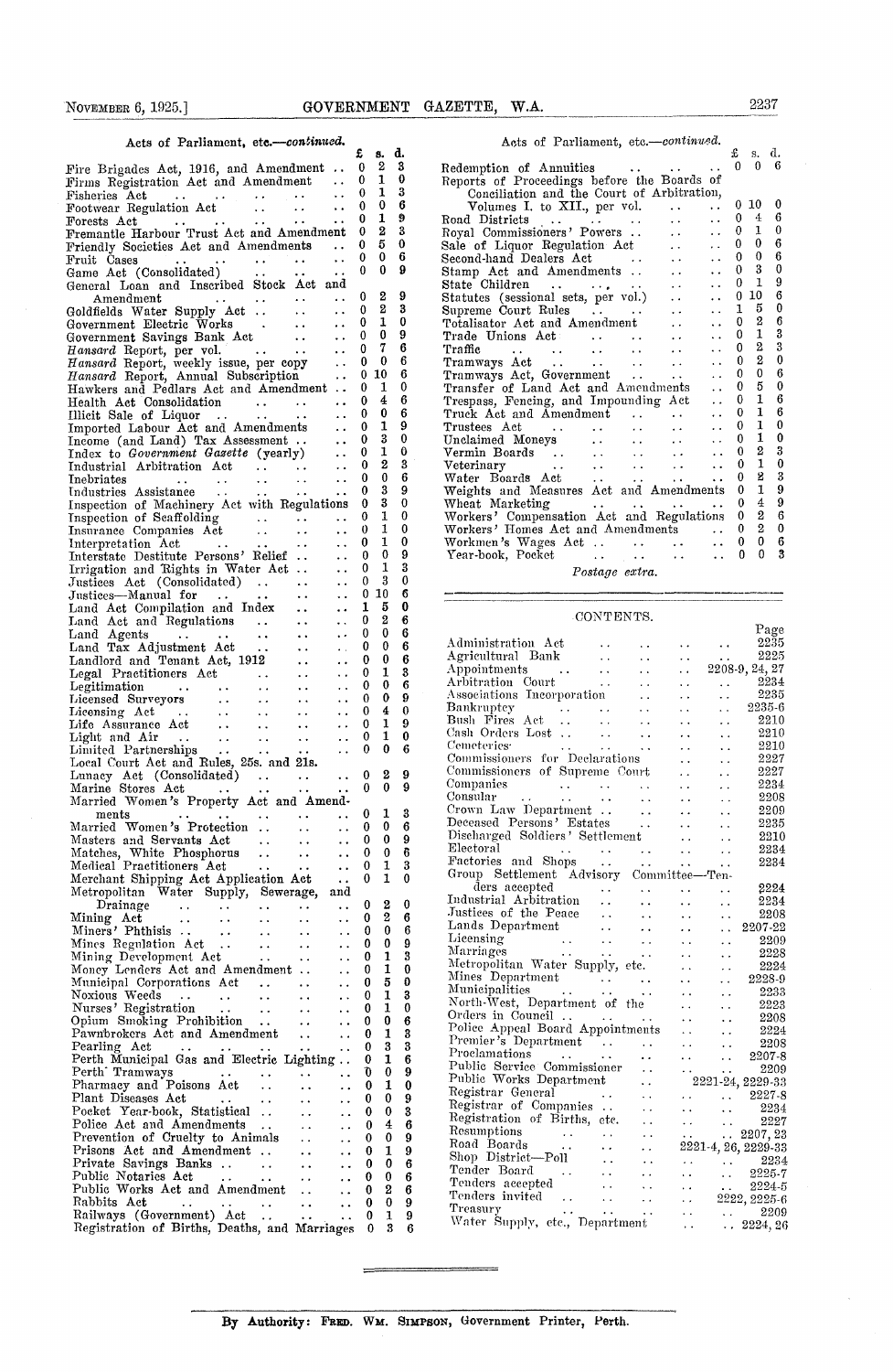| Acts of Parliament, etc.-continued.                                                                                                                                       |                                                | £      | 8.                | d.       |
|---------------------------------------------------------------------------------------------------------------------------------------------------------------------------|------------------------------------------------|--------|-------------------|----------|
| Fire Brigades Act, 1916, and Amendment                                                                                                                                    |                                                | 0      | 2                 | 3        |
| Firms Registration Act and Amendment                                                                                                                                      | $\ddot{\phantom{a}}$                           | 0<br>0 | $\mathbf{1}$<br>1 | 0<br>3   |
|                                                                                                                                                                           | $\ddot{\phantom{1}}$ .                         | 0      | 0                 | 6        |
| Fremantle Harbour Trust Act and Amendment                                                                                                                                 | $\ddot{\phantom{a}}$                           | 0<br>0 | 1<br>2            | 9<br>3   |
| Friendly Societies Act and Amendments                                                                                                                                     |                                                | 0      | 5                 | $\bf{0}$ |
| Fruit Cases<br>Game Act (Consolidated)                                                                                                                                    | $\ddot{\phantom{a}}$                           | 0<br>0 | 0<br>0            | 6<br>9   |
| General Loan and Inscribed Stock Act and                                                                                                                                  | $\ddotsc$                                      |        |                   |          |
| $A$ mendmen ${\bf t}$<br>$\sim 10^{-1}$                                                                                                                                   | $\sim$ $\sim$                                  | 0      | 2                 | 9        |
| Goldfields Water Supply Act.<br>$\sim 10^{-1}$                                                                                                                            | $\ddot{\phantom{1}}$<br>$\ddot{\phantom{a}}$   | 0<br>0 | 2<br>$\mathbf{1}$ | 3<br>0   |
| Government Electric Works<br>Government Savings Bank Act<br>Hansard Report, per vol.<br>Hansard Report weakly issues                                                      | $\ddot{\phantom{0}}$                           | 0      | 0                 | 9        |
| Hansard Report, per vol.<br>Hansard Report, weekly issue, per copy<br>Hansard Report, Annual Subscription                                                                 | $\ddot{\phantom{a}}$<br>$\Box$                 | 0<br>0 | 7<br>0            | 6<br>6   |
|                                                                                                                                                                           | $\sim$ $\sim$                                  | 0      | 10                | 6        |
| Hawkers and Pedlars Act and Amendment                                                                                                                                     |                                                | 0<br>0 | 1<br>4            | 0<br>6   |
| Health Act Consolidation<br>Illicit Sale of Liquor<br>Imported Labour Act and Amendments                                                                                  | $\ddot{\phantom{a}}$ .<br>$\ddot{\phantom{a}}$ | 0      | 0                 | 6        |
|                                                                                                                                                                           | $\ddot{\phantom{0}}$                           | 0      | 1                 | 9        |
| Income (and Land) Tax Assessment<br>Index to Government Gasette (yearly)<br>Industrial Arbitration Act                                                                    | $\ddot{\phantom{1}}$<br>$\ddot{\phantom{a}}$   | 0<br>0 | 3<br>1            | 0<br>0   |
|                                                                                                                                                                           | $\ddot{\phantom{a}}$                           | 0      | 2                 | 3        |
| Inebriates                                                                                                                                                                | $\ddot{\phantom{a}}$ .                         | 0<br>0 | 0<br>3            | 6<br>9   |
| Inspection of Machinery Act with Regulations                                                                                                                              | $\ddot{\phantom{0}}$                           | 0      | 3                 | 0        |
|                                                                                                                                                                           |                                                | 0      | 1                 | 0        |
|                                                                                                                                                                           | $\ddotsc$                                      | 0<br>0 | 1<br>1            | 0<br>0   |
| Interstate Destitute Persons' Relief                                                                                                                                      | $\ddot{\phantom{0}}$                           | 0      | 0                 | 9        |
| Irrigation and Rights in Water Act                                                                                                                                        | $\ddot{\phantom{0}}$                           | 0<br>0 | 1<br>3            | 3<br>0   |
| Justices Act (Consolidated)<br>Justices—Manual for<br>Land Act Compilation and Index                                                                                      | $\ddot{\phantom{a}}$<br>$\ddot{\phantom{0}}$   | 0      | 10                | 6        |
|                                                                                                                                                                           | $\ddot{\phantom{a}}$                           | 1      | 5                 | 0        |
| Land Act domponents.<br>Land Act and Regulations<br>$\sim 10^{-1}$                                                                                                        | $\ddot{\phantom{0}}$                           | 0<br>0 | 2<br>0            | 6<br>6   |
| Land Agents<br>$\sim 10^{-1}$<br>$\sim 10$<br>Land Agents<br>Land Tax Adjustment Act<br>Landlord and Tenant Act, 1912                                                     | $\ddot{\phantom{0}}$<br>$\ddot{\phantom{0}}$   | 0      | 0                 | 6        |
|                                                                                                                                                                           | $\ddot{\phantom{0}}$                           | 0      | 0                 | 6        |
| $\sim$ $\sim$<br>$\sim$ $\sim$                                                                                                                                            | $\ddot{\phantom{0}}$<br>$\ddot{\phantom{0}}$   | 0<br>0 | 1<br>0            | 3<br>6   |
| $\sim 10$                                                                                                                                                                 | $\ddot{\phantom{0}}$                           | 0      | 0                 | 9        |
| $\frac{1}{2}$ .                                                                                                                                                           | $\ddot{\phantom{0}}$                           | 0<br>0 | 4<br>1            | 0<br>9   |
| $\mathbf{r}(\mathbf{r})$ .<br>$\sim 10^{-1}$                                                                                                                              | $\ddot{\phantom{0}}$<br>$\ddotsc$              | 0      | 1                 | 0        |
| $\ddotsc$                                                                                                                                                                 | $\ddot{\phantom{0}}$                           | 0      | 0                 | 6        |
| Local Court Act and Rules, 25s. and 21s.                                                                                                                                  | $\ddotsc$                                      | 0      | 2                 | 9        |
|                                                                                                                                                                           | $\ddotsc$                                      | 0      | 0                 | 9        |
| Married Women's Property Act and Amend-<br>ments                                                                                                                          |                                                | 0      | 1                 | 3        |
| $\frac{1}{2}$<br>ments<br>Married Women's Protection                                                                                                                      | $\ddotsc$<br>$\ddotsc$                         | 0      | 0                 | 6        |
| Masters and Servants Act<br><b>Contract Contract</b>                                                                                                                      | $\ldots$ 0 0                                   |        |                   | 9        |
| Matches, White Phosphorus<br>$\ddot{\phantom{1}}$<br>$\ddot{\phantom{1}}$<br>Medical Practitioners Act<br>$\bullet$ $\bullet$<br>$\bullet$ $\bullet$                      | . .<br>. .                                     | 0<br>0 | 0<br>1            | 6<br>3   |
| Merchant Shipping Act Application Act                                                                                                                                     | . .                                            | 0      | 1                 | 0        |
| Metropolitan Water Supply, Sewerage,                                                                                                                                      | and                                            | 0      | 2                 | 0        |
| Drainage<br>$\sim$ $\sim$<br>$\ddot{\phantom{1}}$<br>$\sim$ $\sim$<br>$\ddot{\phantom{0}}$<br>Mining Act<br>$\ddot{\phantom{0}}$<br>$\sim$ $\sim$<br>$\ddot{\phantom{1}}$ | . .<br>. .                                     | 0      | 2                 | 6        |
| Miners' Phthisis<br>$\sim$ $\sim$<br>$\ddot{\phantom{0}}$                                                                                                                 | . .                                            | 0      | 0                 | 6        |
| Mines Regulation Act<br>$\ddotsc$<br>$\ddot{\phantom{0}}$<br>$\ddot{\phantom{1}}$<br>Mining Development Act                                                               | . .                                            | 0<br>0 | 0<br>1            | 9<br>3   |
| $\ddot{\phantom{a}}$ .<br>. .<br>Money Lenders Act and Amendment<br>$\ddot{\phantom{0}}$                                                                                  | . .<br>$\ddot{\phantom{0}}$                    | 0      | 1                 | 0        |
| Municipal Corporations Act<br>$\sim$ .<br>. .                                                                                                                             | . .                                            | 0      | 5                 | 0        |
| Noxious Weeds<br>$\sim$ .<br>$\ddot{\phantom{0}}$<br>$\ddot{\phantom{0}}$<br>. .<br>Nurses' Registration<br>$\ddot{\phantom{1}}$ .<br>$\ddotsc$<br>. .                    | . .<br>٠.                                      | 0<br>0 | 1<br>1            | 3<br>0   |
| Opium Smoking Prohibition<br>$\ddot{\phantom{0}}$                                                                                                                         | . .                                            | 0      | 0                 | 6        |
| Pawnbrokers Act and Amendment<br>$\ddot{\phantom{1}}$<br>Pearling Act<br>$\sim$ $\star$                                                                                   | . .                                            | 0<br>0 | 1<br>3            | 3<br>3   |
| . .<br>Perth Municipal Gas and Electric Lighting                                                                                                                          | . .                                            | 0      | 1                 | 6        |
| Perth' Tramways<br>. .                                                                                                                                                    | $\ddot{\phantom{1}}$                           | O      | 0                 | 9        |
| Pharmacy and Poisons Act<br>. .<br>Plant Diseases Act<br>$\ddot{\phantom{0}}$                                                                                             | . .<br>. .                                     | 0<br>0 | 1<br>0            | 0<br>9   |
| Pocket Year-book, Statistical<br>. .                                                                                                                                      | . .                                            | 0      | 0                 | 3        |
| Police Act and Amendments<br>. .<br>Prevention of Cruelty to Animals                                                                                                      | . .                                            | 0      | 4                 | 6        |
| г.<br>Prisons Act and Amendment<br>٠.                                                                                                                                     | . .<br>. .                                     | 0<br>0 | 0<br>1            | 9<br>9   |
| Private Savings Banks<br>$\sim$ $\sim$<br>$\ddot{\phantom{1}}$                                                                                                            | $\ddot{\phantom{0}}$                           | 0      | 0                 | 6        |
| Public Notaries Act<br>Ω.<br>$\ddot{\phantom{0}}$<br>$\ddot{\phantom{1}}$<br>Public Works Act and Amendment<br>$\ddotsc$                                                  | . .<br>. .                                     | 0<br>0 | 0<br>2            | 6<br>6   |
| Rabbits Act<br>$\ddotsc$<br>$\ddot{\phantom{0}}$<br>$\ddot{\phantom{1}}$                                                                                                  | $\ddot{\phantom{1}}$                           | 0      | 0                 | 9        |
| Railways (Government) Act<br>Registration of Births, Deaths, and Marriages                                                                                                |                                                | 0      | 1<br>3            | 9        |
|                                                                                                                                                                           |                                                | 0      |                   | 6        |

| NOVEMBER 6, 1925.]                                                                                                                                                                                                                                                                                                                                                                                                                                                       |                                                                             |                   |                       |               | GOVERNMENT GAZETTE,<br>W.A.                                                                                                                                    |              | 2237                |                 |
|--------------------------------------------------------------------------------------------------------------------------------------------------------------------------------------------------------------------------------------------------------------------------------------------------------------------------------------------------------------------------------------------------------------------------------------------------------------------------|-----------------------------------------------------------------------------|-------------------|-----------------------|---------------|----------------------------------------------------------------------------------------------------------------------------------------------------------------|--------------|---------------------|-----------------|
| Acts of Parliament, etc.-continued.                                                                                                                                                                                                                                                                                                                                                                                                                                      |                                                                             | £                 | 8.                    | d.            | Acts of Parliament, etc.-continued.                                                                                                                            | £            | s. d.               |                 |
| Fire Brigades Act, 1916, and Amendment $\ldots$                                                                                                                                                                                                                                                                                                                                                                                                                          |                                                                             | 0                 | 2                     | 3             | Redemption of Annuities                                                                                                                                        | 0            |                     | 0 <sub>0</sub>  |
| Firms Registration Act and Amendment                                                                                                                                                                                                                                                                                                                                                                                                                                     | $\ddot{\phantom{0}}$                                                        | 0                 | 1                     | -0            | Reports of Proceedings before the Boards of                                                                                                                    |              |                     |                 |
| Fisheries Act<br>$\mathcal{L}(\mathbf{z},\mathbf{z})$ and $\mathcal{L}(\mathbf{z},\mathbf{z})$ and $\mathcal{L}(\mathbf{z},\mathbf{z})$<br>$\bullet$ , $\bullet$ , $\bullet$ , $\bullet$                                                                                                                                                                                                                                                                                 | $\ddot{\phantom{a}}$                                                        | $\bf{0}$          | 1                     | 3             | Conciliation and the Court of Arbitration,                                                                                                                     |              |                     |                 |
| Footwear Regulation Act<br>$\mathbf{A}$ and $\mathbf{A}$                                                                                                                                                                                                                                                                                                                                                                                                                 | $\ddot{\phantom{a}}$<br>$\bullet$ $\bullet$                                 | $\Omega$          | 0                     | 6             | Volumes I. to XII., per vol.<br>$\ddot{\phantom{a}}$<br>$\ddot{\phantom{0}}$                                                                                   |              | $0\,10$             | - 0             |
| $\mathcal{L}^{\mathcal{A}}$ and $\mathcal{L}^{\mathcal{A}}$ and $\mathcal{L}^{\mathcal{A}}$ are $\mathcal{L}^{\mathcal{A}}$ .<br>$\rm\bf Forests \;\; Act$                                                                                                                                                                                                                                                                                                               | $\ddotsc$                                                                   | 0                 | 1                     | 9             | Road Districts $\cdots$ .<br>$\ddot{\phantom{0}}$<br>$\ddot{\phantom{a}}$                                                                                      | 0            | $\overline{4}$<br>1 | 6<br>$\theta$   |
| Fremantle Harbour Trust Act and Amendment                                                                                                                                                                                                                                                                                                                                                                                                                                |                                                                             | 0                 | $\boldsymbol{2}$<br>5 | 3<br>0        | Royal Commissioners' Powers<br>$\ddot{\phantom{0}}$<br>$\sim$ $\sim$                                                                                           | 0<br>0       | 0                   | 6               |
| Friendly Societies Act and Amendments                                                                                                                                                                                                                                                                                                                                                                                                                                    | $\ddot{\phantom{0}}$                                                        | 0<br>$\bf{0}$     | 0                     | 6             | Sale of Liquor Regulation Act<br>$\ddot{\phantom{a}}$<br>$\ddot{\phantom{0}}$                                                                                  | $\mathbf{0}$ | $\theta$            | 6               |
| $\mathcal{L}(\mathcal{L}^{\mathcal{L}}(\mathcal{L}^{\mathcal{L}}(\mathcal{L}^{\mathcal{L}}(\mathcal{L}^{\mathcal{L}}(\mathcal{L}^{\mathcal{L}}(\mathcal{L}^{\mathcal{L}}(\mathcal{L}^{\mathcal{L}}(\mathcal{L}^{\mathcal{L}}(\mathcal{L}^{\mathcal{L}}(\mathcal{L}^{\mathcal{L}}(\mathcal{L}^{\mathcal{L}}(\mathcal{L}^{\mathcal{L}}(\mathcal{L}^{\mathcal{L}}(\mathcal{L}^{\mathcal{L}}(\mathcal{L}^{\mathcal{L}}(\mathcal{L}^{\mathcal{L}}(\mathcal{L}$<br>Fruit Cases | $\ddot{\phantom{a}}$                                                        | $\Omega$          | $\mathbf{0}$          | 9             | Second-hand Dealers Act<br>$\sim$ $\sim$                                                                                                                       | 0            | 3                   | $\overline{0}$  |
| Game Act (Consolidated)                                                                                                                                                                                                                                                                                                                                                                                                                                                  | $\ddot{\phantom{a}}$<br>$\sim$ $\sim$                                       |                   |                       |               | Stamp Act and Amendments<br>$\sim$<br>$\ddot{\phantom{0}}$                                                                                                     | 0            | $\mathbf{1}$        | 9               |
| General Loan and Inscribed Stock Act and                                                                                                                                                                                                                                                                                                                                                                                                                                 |                                                                             | 0                 | $\boldsymbol{2}$      | -9            | State Children<br>المعاري ومعاربات معار<br>$\sim$ $\sim$<br>$\ddot{\phantom{0}}$<br>$\sim 10^{-1}$                                                             | $\mathbf{0}$ | 10                  | 6               |
| Amendment<br>Goldfields Water Supply Act                                                                                                                                                                                                                                                                                                                                                                                                                                 | $\ddot{\phantom{1}}$                                                        | 0                 | 2                     | 3             | Statutes (sessional sets, per vol.)<br>$\ddot{\phantom{0}}$<br>Supreme Court Rules<br>$\ddot{\phantom{0}}$<br>$\ddot{\phantom{a}}$                             | 1            | 5                   | $\bf{0}$        |
| Government Electric Works .                                                                                                                                                                                                                                                                                                                                                                                                                                              | . .<br>$\ddot{\phantom{0}}$<br>$\ddot{\phantom{a}}$<br>$\ddot{\phantom{0}}$ | $\bf{0}$          | $\mathbf{1}$          | 0             | Totalisator Act and Amendment<br>$\sim$ $\sim$<br>$\ddot{\phantom{a}}$                                                                                         | 0            | 2                   | 6               |
| Government Savings Bank Act                                                                                                                                                                                                                                                                                                                                                                                                                                              | $\ddot{\phantom{a}}$<br>$\ddot{\phantom{0}}$                                | $\bf{0}$          | $\bf{0}$              | 9             | Trade Unions Act<br>$\mathbf{L}$ . The set of $\mathbf{L}$<br>$\ddot{\phantom{0}}$<br>$\sim$ $\sim$<br>$\epsilon$ .                                            | 0            | $\mathbf{1}$        | 3               |
| Hansard Report, per vol.<br><b>Contract</b>                                                                                                                                                                                                                                                                                                                                                                                                                              | $\ddot{\phantom{a}}$<br>$\ddot{\phantom{a}}$                                | $\mathbf{0}$      | 7                     | 6             | Traffic<br>and the state of<br>$\mathbf{L}$ and $\mathbf{L}$ and $\mathbf{L}$<br>$\ddot{\phantom{a}}$<br>$\sim$ $\sim$<br>$\sim$ $\sim$                        | 0            | 2                   | 3               |
| Hansard Report, weekly issue, per copy                                                                                                                                                                                                                                                                                                                                                                                                                                   | $\ddot{\phantom{a}}$                                                        | $\bf{0}$          | 0                     | 6             | Tramways Act<br>$\sim 10^{-11}$<br>$\sim$ $\sim$<br>$\sim$ $\sim$<br>$\ddot{\phantom{a}}$                                                                      | 0            | $\overline{2}$      | $\theta$        |
| Hansard Report, Annual Subscription                                                                                                                                                                                                                                                                                                                                                                                                                                      | $\ddot{\phantom{a}}$                                                        |                   | 0, 10                 | 6             | Tramways Act, Government<br>$\ddot{\phantom{a}}$<br>$\sim 10^{-1}$                                                                                             | 0            | 0                   | 6               |
| Hawkers and Pedlars Act and Amendment                                                                                                                                                                                                                                                                                                                                                                                                                                    |                                                                             | $\bf{0}$          | 1                     | $\mathbf{0}$  | Transfer of Land Act and Amendments<br>$\ddot{\phantom{a}}$                                                                                                    | 0            | 5                   | $\mathbf{0}$    |
| Health Act Consolidation<br>$\mathcal{L}^{\text{max}}$ , and $\mathcal{L}^{\text{max}}$ , and $\mathcal{L}^{\text{max}}$                                                                                                                                                                                                                                                                                                                                                 |                                                                             | $\Omega$          | 4                     | 6             | Trespass, Fencing, and Impounding Act<br>$\ddot{\phantom{0}}$                                                                                                  | $\mathbf 0$  | 1                   | $6\phantom{1}6$ |
| Illicit Sale of Liquor<br><b>Carl Contract Contract</b>                                                                                                                                                                                                                                                                                                                                                                                                                  | $\ddotsc$<br>$\sim$ 100 $\sim$ 100 $\sim$                                   | $\bf{0}$          | 0                     | 6             | Truck Act and Amendment<br>$\ddot{\phantom{a}}$<br>$\ddot{\phantom{a}}$                                                                                        | 0            | ı                   | 6               |
| Imported Labour Act and Amendments                                                                                                                                                                                                                                                                                                                                                                                                                                       | $\sim 100$ km s $^{-1}$                                                     | $\bf{0}$          | $\mathbf{1}$          | 9             | Trustees Act<br>$\mathbf{r}$ , $\mathbf{r}$<br><b>Contract Contract</b><br>$\mathbf{L}$ and $\mathbf{L}$<br>$\ddot{\phantom{a}}$<br>$\ddot{\phantom{a}}$       | $\theta$     | $\mathbf{I}$        | $\mathbf{0}$    |
| Income (and Land) Tax Assessment                                                                                                                                                                                                                                                                                                                                                                                                                                         | $\mathbf{r}$ , $\mathbf{r}$                                                 | $\bf{0}$          | 3                     | $\bf{0}$      | Unclaimed Moneys<br>$\sim$ $\sim$<br><b>Allen Control</b><br>$\ddot{\phantom{a}}$                                                                              | 0            | 1                   | - 0             |
| Index to Government Gasette (yearly)                                                                                                                                                                                                                                                                                                                                                                                                                                     | $\ddot{\phantom{a}}$                                                        | 0                 | 1                     | 0             | Vermin Boards<br>$\mathcal{L}(\mathcal{A})$ .<br>$\ddotsc$<br>$\ddot{\phantom{a}}$<br>$\sim$ $\sim$                                                            | 0            | $\overline{2}$      | 3               |
| Industrial Arbitration Act                                                                                                                                                                                                                                                                                                                                                                                                                                               | $\cdot \cdot$ $\cdot$<br>$\ddot{\phantom{a}}$                               | $\Omega$          | $\boldsymbol{2}$      | 3             | Veterinary<br><b>Contractor</b><br>$\sim$<br>$\ddot{\phantom{a}}$<br>$\ddotsc$<br>$\ddot{\phantom{a}}$                                                         | 0            | $\mathbf{1}$        | $\Omega$        |
| Inebriates<br>$\sim 10^{-1}$<br>$\ddot{\phantom{0}}$<br>$\ddot{\phantom{a}}$                                                                                                                                                                                                                                                                                                                                                                                             | $\ddot{\phantom{a}}$<br>$\sim$ $\sim$                                       | $\Omega$          | $\bf{0}$              | 6             | Water Boards Act<br>$\sim 10^{-10}$<br>$\ddot{\phantom{a}}$<br>$\sim$ $\sim$<br>$\ddot{\phantom{1}}$                                                           | 0            | 8                   | 3               |
| Industries Assistance<br>$\sim 100$ km s $^{-1}$<br>$\ddotsc$                                                                                                                                                                                                                                                                                                                                                                                                            | $\sim$ .<br>$\ddot{\phantom{0}}$                                            | 0                 | 3                     | 9             | Weights and Measures Act and Amendments                                                                                                                        | $\mathbf 0$  | $\mathbf{1}$        | 9               |
| Inspection of Machinery Act with Regulations                                                                                                                                                                                                                                                                                                                                                                                                                             |                                                                             | $\mathbf{0}$      | 3                     | $\bf{0}$      | and the state of the state of<br>Wheat Marketing<br><b>Service</b>                                                                                             | $\mathbf{0}$ | 4<br>$\overline{2}$ | 9               |
| Inspection of Scaffolding<br>$\ddot{\phantom{a}}$ .                                                                                                                                                                                                                                                                                                                                                                                                                      | $\ddot{\phantom{a}}$<br>$\ddot{\phantom{a}}$                                | $^{0}$            | 1                     | 0<br>$\bf{0}$ | Workers' Compensation Act and Regulations 0                                                                                                                    | $\mathbf 0$  | 2                   | 6<br>$\bf{0}$   |
| Insurance Companies Act<br>$\ddot{\phantom{a}}$                                                                                                                                                                                                                                                                                                                                                                                                                          | $\sim$ $\sim$<br>$\sim$ $\sim$                                              | $\mathbf{0}$<br>0 | 1<br>1                | $\bf{0}$      | Workers' Homes Act and Amendments<br>$\sim 10^{-11}$                                                                                                           | $\mathbf{0}$ | $\mathbf{0}$        | 6               |
| Interpretation Act<br>$\sim 10^{11}$ km s $^{-1}$<br>$\sim$ $\sim$<br>Interstate Destitute Persons' Relief                                                                                                                                                                                                                                                                                                                                                               | $\sim$ $\sim$<br>$\ddotsc$                                                  | 0                 | $\bf{0}$              | 9             | Workmen's Wages Act<br>$\ddot{\phantom{a}}$<br>$\mathbf{r}$ , $\mathbf{r}$ , $\mathbf{r}$<br>$\ddot{\phantom{a}}$<br>Year-book, Pocket<br>$\ddot{\phantom{a}}$ | 0            | 0                   | 3               |
| <b>TTT</b>                                                                                                                                                                                                                                                                                                                                                                                                                                                               | $\ddot{\phantom{a}}$                                                        | $\sim$            | п.                    | $\bullet$     | $\sim 100$<br>$\ddot{\phantom{1}}$ .<br>$\sim$ 100 $\pm$                                                                                                       |              |                     |                 |

*Postage extra.*

### CONTENTS.

|                                                                                                                                                                                                                                                                                                     |                      |                      |                      | Page                                                                            |
|-----------------------------------------------------------------------------------------------------------------------------------------------------------------------------------------------------------------------------------------------------------------------------------------------------|----------------------|----------------------|----------------------|---------------------------------------------------------------------------------|
| Administration Act                                                                                                                                                                                                                                                                                  |                      |                      | . .                  | 2235<br>$\ddot{\phantom{a}}$                                                    |
| Agricultural Bank                                                                                                                                                                                                                                                                                   | $\ddot{\phantom{0}}$ | . .                  | . .                  | 2225<br>i.                                                                      |
| Appointments                                                                                                                                                                                                                                                                                        | $\mathbf{r}$ .       | $\ddot{\phantom{a}}$ | $\ddot{\phantom{0}}$ | 2208-9, 24, 27                                                                  |
| Arbitration Court                                                                                                                                                                                                                                                                                   | v.                   | μ.                   | . .                  | 2234<br>$\ddot{\phantom{0}}$                                                    |
| Associations Incorporation                                                                                                                                                                                                                                                                          |                      |                      |                      | 2235<br>$\ddot{\phantom{a}}$                                                    |
| Bankruptey                                                                                                                                                                                                                                                                                          |                      | $\ddot{\phantom{0}}$ |                      | 2235-6<br>. .                                                                   |
| Bankruptcy<br>Bush Fires Act                                                                                                                                                                                                                                                                        |                      | $\ddot{\phantom{0}}$ |                      | 2210<br>. .                                                                     |
| Cash Orders Lost                                                                                                                                                                                                                                                                                    | $\sim$ .             | $\ddot{\phantom{a}}$ |                      | 2210<br>$\ddot{\phantom{0}}$                                                    |
| Cemeteries <sup>.</sup>                                                                                                                                                                                                                                                                             | $\sim 10$            | $\ddotsc$            |                      | 2210<br>. .                                                                     |
| Cemeteries<br>Commissioners for Declarations                                                                                                                                                                                                                                                        |                      |                      |                      | 2227<br>. .                                                                     |
| Commissioners of Supreme Court                                                                                                                                                                                                                                                                      |                      |                      |                      | 2227<br>. .                                                                     |
| Companies                                                                                                                                                                                                                                                                                           |                      |                      |                      | 2234                                                                            |
| $\begin{array}{ccc} \bullet & \bullet & \bullet & \bullet \\ \bullet & \bullet & \bullet & \bullet \\ \bullet & \bullet & \bullet & \bullet \end{array}$<br>$\label{eq:2} \frac{1}{\sqrt{2}}\frac{1}{\sqrt{2}}\left(\frac{1}{\sqrt{2}}\right)^2\frac{1}{\sqrt{2}}\frac{1}{\sqrt{2}}\,.$<br>Consular |                      | $\ddotsc$            |                      | 2208<br>$\ddot{\phantom{a}}$                                                    |
| Crown Law Department                                                                                                                                                                                                                                                                                |                      |                      |                      | 2209<br>. .                                                                     |
|                                                                                                                                                                                                                                                                                                     |                      |                      |                      | 2235                                                                            |
| Discharged Soldiers' Settlement                                                                                                                                                                                                                                                                     |                      |                      |                      | 2210                                                                            |
| Electoral                                                                                                                                                                                                                                                                                           |                      |                      |                      | $\ddot{\phantom{a}}$<br>2234                                                    |
| Factories and Shops<br>Channel Collection Channel Channel Channel Channel Channel Channel Channel Channel Channel Channel Channel Ch                                                                                                                                                                |                      | $\sim$ $\sim$        | И.                   | . .<br>2234                                                                     |
| Group Settlement Advisory Committee-Ten-                                                                                                                                                                                                                                                            |                      |                      | . .                  | . .                                                                             |
| ders accepted                                                                                                                                                                                                                                                                                       |                      |                      |                      |                                                                                 |
|                                                                                                                                                                                                                                                                                                     | <b>Contractor</b>    | $\ddot{\phantom{a}}$ |                      | 2224<br>. .                                                                     |
| Industrial Arbitration<br>Justices of the Peace                                                                                                                                                                                                                                                     |                      | $\ddot{\phantom{0}}$ |                      | 2234<br>. .                                                                     |
| Lands Department                                                                                                                                                                                                                                                                                    |                      | $\ddotsc$            |                      | 2208<br>. .                                                                     |
|                                                                                                                                                                                                                                                                                                     | $\sim 100$           | $\ddotsc$            |                      | 2207-22<br>$\ddot{\phantom{0}}$                                                 |
|                                                                                                                                                                                                                                                                                                     |                      |                      |                      | 2209<br>. .                                                                     |
|                                                                                                                                                                                                                                                                                                     |                      |                      |                      | 2228<br>$\ddot{\phantom{0}}$                                                    |
|                                                                                                                                                                                                                                                                                                     |                      |                      |                      | 2224<br>. .                                                                     |
|                                                                                                                                                                                                                                                                                                     |                      |                      |                      | 2228-9<br>$\ddot{\phantom{0}}$                                                  |
|                                                                                                                                                                                                                                                                                                     |                      |                      |                      | 2233<br>$\ddot{\phantom{0}}$                                                    |
| North-West, Department of the                                                                                                                                                                                                                                                                       |                      |                      |                      | 2223<br>. .                                                                     |
| Orders in Council<br>Police Appeal Board Appointments                                                                                                                                                                                                                                               |                      |                      | $\ddot{\phantom{0}}$ | 2208<br>. .                                                                     |
|                                                                                                                                                                                                                                                                                                     |                      |                      | $\ddot{\phantom{1}}$ | 2224<br>$\ddot{\phantom{0}}$                                                    |
| Premier's Department                                                                                                                                                                                                                                                                                |                      |                      | $\ddot{\phantom{0}}$ | 2208<br>$\ddot{\phantom{0}}$                                                    |
| Proclamations<br><b>Contract Contract</b>                                                                                                                                                                                                                                                           |                      | $\ddot{\phantom{0}}$ | . .                  | 2207-8<br>$\ddot{\phantom{a}}$                                                  |
| Public Service Commissioner                                                                                                                                                                                                                                                                         |                      |                      |                      | 2209<br>$\ddot{\phantom{0}}$                                                    |
| Public Works Department                                                                                                                                                                                                                                                                             |                      |                      |                      | 2221-24, 2229-33                                                                |
| Registrar General                                                                                                                                                                                                                                                                                   | $\sim 10^{-1}$       |                      |                      | $\therefore$ 2227-8                                                             |
| Registrar of Companies                                                                                                                                                                                                                                                                              |                      |                      | $\mathbf{r}$         | 2234<br>$\ddot{\phantom{a}}$                                                    |
| Registration of Births, etc.                                                                                                                                                                                                                                                                        |                      |                      | $\mathbf{L}$         | 2227<br>$\mathcal{L}(\mathcal{A})$ .                                            |
| Resumptions<br>$\mathcal{L}^{\mathcal{L}}$ , and $\mathcal{L}^{\mathcal{L}}$ , and $\mathcal{L}^{\mathcal{L}}$                                                                                                                                                                                      |                      |                      |                      | $\ldots$ 2207, 23                                                               |
| $\sim 10$<br>Road Boards                                                                                                                                                                                                                                                                            | $\sim$ $\sim$        |                      |                      | 2221-4, 26, 2229-33                                                             |
| Shop District-Poll                                                                                                                                                                                                                                                                                  | $\frac{1}{2}$        |                      | . .                  |                                                                                 |
|                                                                                                                                                                                                                                                                                                     |                      |                      | $\sim$               | $\begin{array}{ccc} \ldots & 2234 \ 2225-7 \end{array}$<br>$\ddot{\phantom{a}}$ |
| render Board<br>Tenders accepted<br>Text:                                                                                                                                                                                                                                                           |                      |                      | . .                  | 2224-5<br>$\ddot{\phantom{a}}$                                                  |
| xenuers accepted<br>Tenders invited<br>Treesury                                                                                                                                                                                                                                                     |                      | $\ddot{\phantom{0}}$ |                      | 2222, 2225-6                                                                    |
| Treasury                                                                                                                                                                                                                                                                                            |                      | $\ddot{\phantom{1}}$ | L.                   | 2209                                                                            |
| Treasury<br>Water Supply, etc., Department                                                                                                                                                                                                                                                          |                      |                      |                      | $\frac{2209}{2224,26}$                                                          |
|                                                                                                                                                                                                                                                                                                     |                      |                      |                      |                                                                                 |

 $=$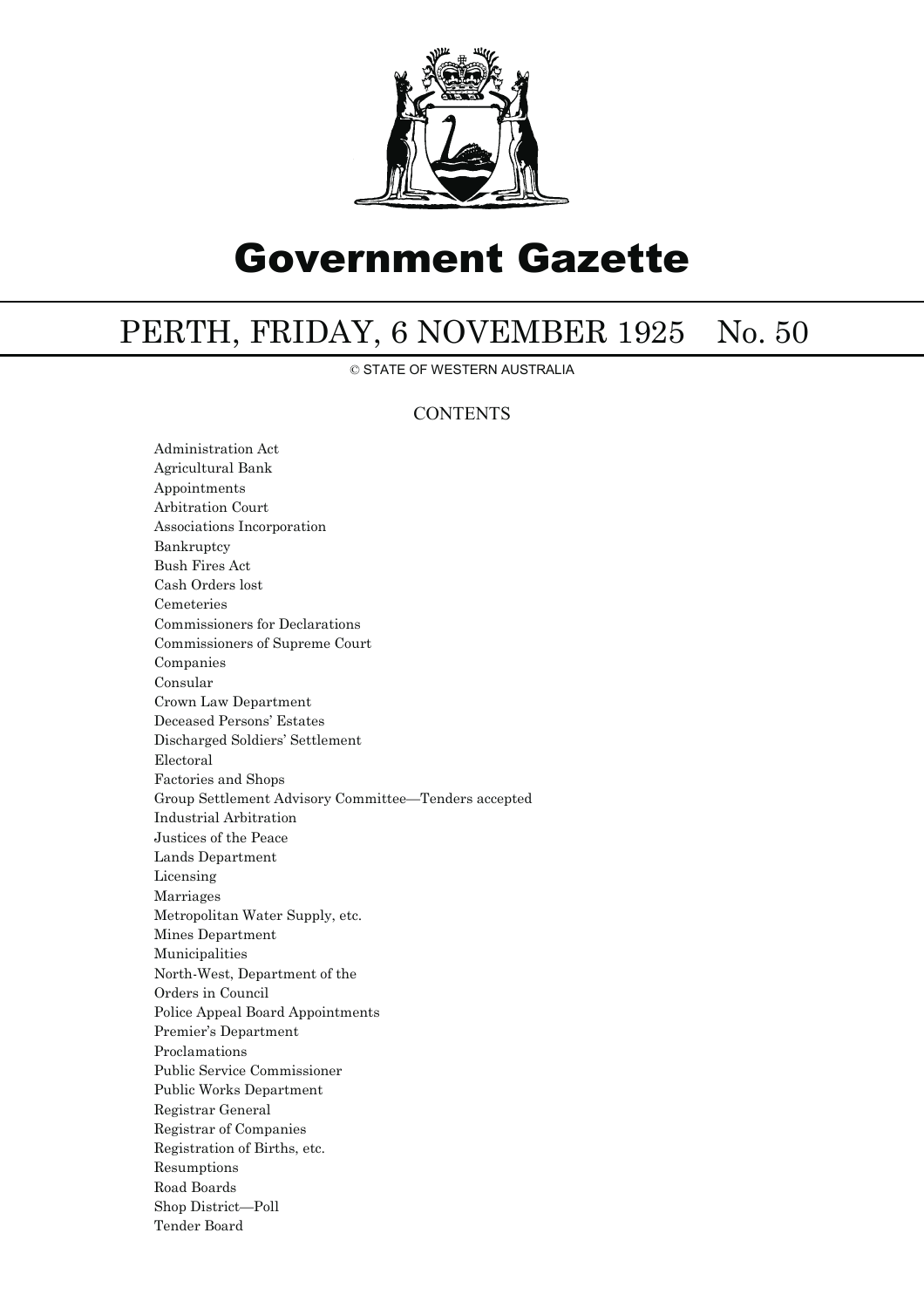

# Government Gazette

## PERTH, FRIDAY, 6 NOVEMBER 1925 No. 50

© STATE OF WESTERN AUSTRALIA

### **CONTENTS**

Administration Act Agricultural Bank Appointments Arbitration Court Associations Incorporation Bankruptcy Bush Fires Act Cash Orders lost Cemeteries Commissioners for Declarations Commissioners of Supreme Court Companies Consular Crown Law Department Deceased Persons' Estates Discharged Soldiers' Settlement Electoral Factories and Shops Group Settlement Advisory Committee—Tenders accepted Industrial Arbitration Justices of the Peace Lands Department Licensing Marriages Metropolitan Water Supply, etc. Mines Department Municipalities North-West, Department of the Orders in Council Police Appeal Board Appointments Premier's Department Proclamations Public Service Commissioner Public Works Department Registrar General Registrar of Companies Registration of Births, etc. Resumptions Road Boards Shop District—Poll Tender Board